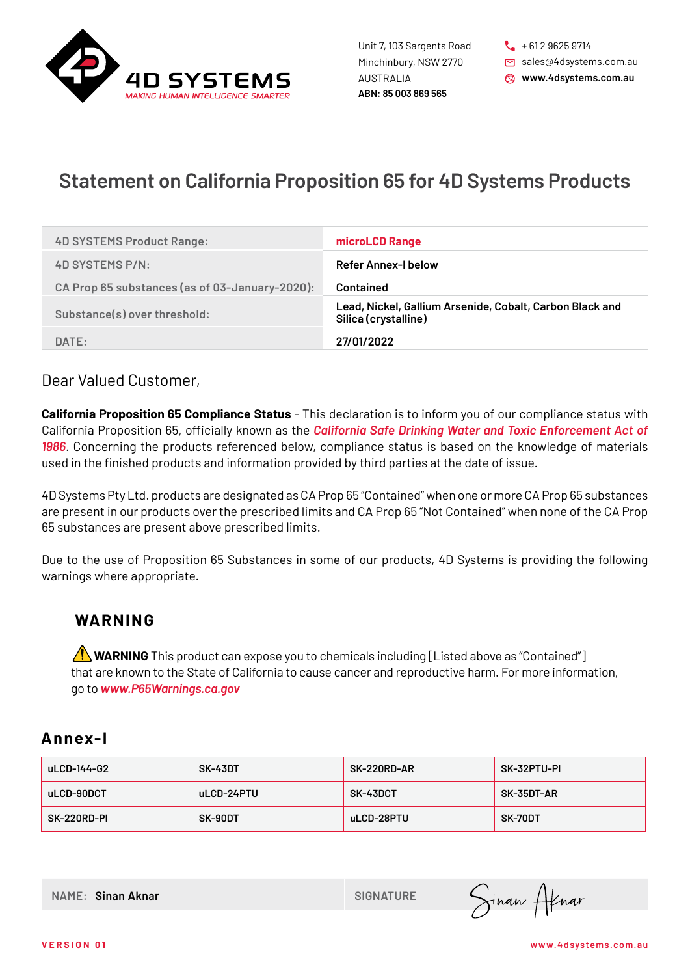

**ABN: 85 003 869 565** Unit 7, 103 Sargents Road Minchinbury, NSW 2770 AUSTRALIA

 $\begin{bmatrix} 1 & 6 & 6 \\ 1 & 6 & 1 & 2 \\ 1 & 1 & 1 & 6 \end{bmatrix}$ sales@4dsystems.com.au **www.4dsystems.com.au**

## **Statement on California Proposition 65 for 4D Systems Products**

| <b>4D SYSTEMS Product Range:</b>               | microLCD Range                                                                   |
|------------------------------------------------|----------------------------------------------------------------------------------|
| 4D SYSTEMS P/N:                                | <b>Refer Annex-I below</b>                                                       |
| CA Prop 65 substances (as of 03-January-2020): | Contained                                                                        |
| Substance(s) over threshold:                   | Lead, Nickel, Gallium Arsenide, Cobalt, Carbon Black and<br>Silica (crystalline) |
| DATE:                                          | 27/01/2022                                                                       |

## Dear Valued Customer,

**California Proposition 65 Compliance Status** - This declaration is to inform you of our compliance status with California Proposition 65, officially known as the *California Safe Drinking Water and Toxic Enforcement Act of 1986*. Concerning the products referenced below, compliance status is based on the knowledge of materials used in the finished products and information provided by third parties at the date of issue.

4D Systems Pty Ltd. products are designated as CA Prop 65 "Contained" when one or more CA Prop 65 substances are present in our products over the prescribed limits and CA Prop 65 "Not Contained" when none of the CA Prop 65 substances are present above prescribed limits.

Due to the use of Proposition 65 Substances in some of our products, 4D Systems is providing the following warnings where appropriate.

## **WA R N I N G**

 **WARNING** This product can expose you to chemicals including [Listed above as "Contained"] that are known to the State of California to cause cancer and reproductive harm. For more information, go to *www.P65Warnings.ca.gov*

## **Annex-I**

| uLCD-144-G2 | SK-43DT    | <b>SK-220RD-AR</b> | SK-32PTU-PI |
|-------------|------------|--------------------|-------------|
| uLCD-90DCT  | uLCD-24PTU | <b>SK-43DCT</b>    | SK-35DT-AR  |
| SK-220RD-PI | SK-90DT    | uLCD-28PTU         | SK-70DT     |

**NAME: Sinan Aknar SIGNATURE** 

Sinan Atnar